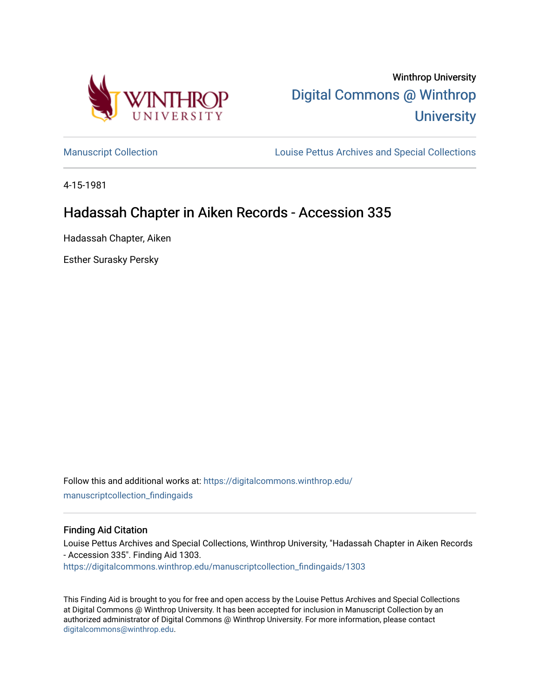

[Manuscript Collection](https://digitalcommons.winthrop.edu/manuscriptcollection_findingaids) **Louise Pettus Archives and Special Collections** 

4-15-1981

# Hadassah Chapter in Aiken Records - Accession 335

Hadassah Chapter, Aiken

Esther Surasky Persky

Follow this and additional works at: [https://digitalcommons.winthrop.edu/](https://digitalcommons.winthrop.edu/manuscriptcollection_findingaids?utm_source=digitalcommons.winthrop.edu%2Fmanuscriptcollection_findingaids%2F1303&utm_medium=PDF&utm_campaign=PDFCoverPages) [manuscriptcollection\\_findingaids](https://digitalcommons.winthrop.edu/manuscriptcollection_findingaids?utm_source=digitalcommons.winthrop.edu%2Fmanuscriptcollection_findingaids%2F1303&utm_medium=PDF&utm_campaign=PDFCoverPages) 

#### Finding Aid Citation

Louise Pettus Archives and Special Collections, Winthrop University, "Hadassah Chapter in Aiken Records - Accession 335". Finding Aid 1303. [https://digitalcommons.winthrop.edu/manuscriptcollection\\_findingaids/1303](https://digitalcommons.winthrop.edu/manuscriptcollection_findingaids/1303?utm_source=digitalcommons.winthrop.edu%2Fmanuscriptcollection_findingaids%2F1303&utm_medium=PDF&utm_campaign=PDFCoverPages) 

This Finding Aid is brought to you for free and open access by the Louise Pettus Archives and Special Collections at Digital Commons @ Winthrop University. It has been accepted for inclusion in Manuscript Collection by an authorized administrator of Digital Commons @ Winthrop University. For more information, please contact [digitalcommons@winthrop.edu](mailto:digitalcommons@winthrop.edu).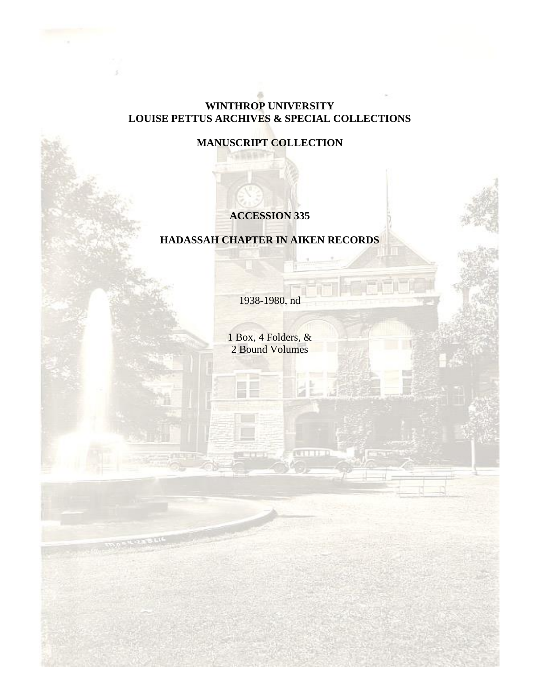### **WINTHROP UNIVERSITY LOUISE PETTUS ARCHIVES & SPECIAL COLLECTIONS**

**MANUSCRIPT COLLECTION**

## **ACCESSION 335**

### **HADASSAH CHAPTER IN AIKEN RECORDS**

1938-1980, nd

1 Box, 4 Folders, & 2 Bound Volumes

un Till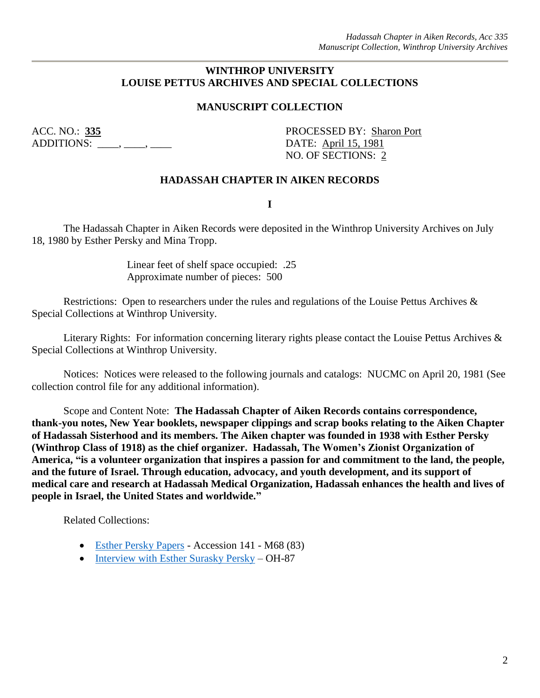#### **WINTHROP UNIVERSITY LOUISE PETTUS ARCHIVES AND SPECIAL COLLECTIONS**

#### **MANUSCRIPT COLLECTION**

ADDITIONS: \_\_\_\_, \_\_\_, \_\_\_\_, \_\_\_\_\_ DATE: April 15, 1981

ACC. NO.: **335** PROCESSED BY: Sharon Port NO. OF SECTIONS: 2

#### **HADASSAH CHAPTER IN AIKEN RECORDS**

**I**

The Hadassah Chapter in Aiken Records were deposited in the Winthrop University Archives on July 18, 1980 by Esther Persky and Mina Tropp.

> Linear feet of shelf space occupied: .25 Approximate number of pieces: 500

Restrictions: Open to researchers under the rules and regulations of the Louise Pettus Archives & Special Collections at Winthrop University.

Literary Rights: For information concerning literary rights please contact the Louise Pettus Archives & Special Collections at Winthrop University.

Notices: Notices were released to the following journals and catalogs: NUCMC on April 20, 1981 (See collection control file for any additional information).

Scope and Content Note: **The Hadassah Chapter of Aiken Records contains correspondence, thank-you notes, New Year booklets, newspaper clippings and scrap books relating to the Aiken Chapter of Hadassah Sisterhood and its members. The Aiken chapter was founded in 1938 with Esther Persky (Winthrop Class of 1918) as the chief organizer. Hadassah, The Women's Zionist Organization of America, "is a volunteer organization that inspires a passion for and commitment to the land, the people, and the future of Israel. Through education, advocacy, and youth development, and its support of medical care and research at Hadassah Medical Organization, Hadassah enhances the health and lives of people in Israel, the United States and worldwide."**

Related Collections:

- [Esther Persky Papers](https://digitalcommons.winthrop.edu/manuscriptcollection_findingaids/99/) Accession 141 M68 (83)
- [Interview with Esther Surasky Persky](https://digitalcommons.winthrop.edu/oralhistoryprogram/180/) OH-87